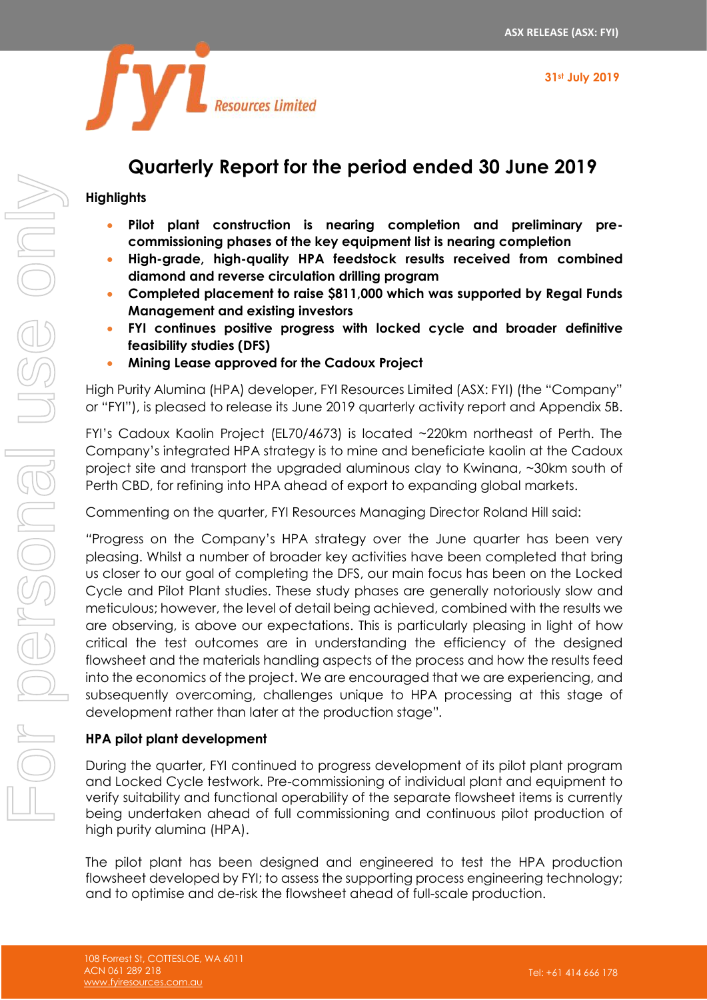

# **Quarterly Report for the period ended 30 June 2019**

## **Highlights**

- **Pilot plant construction is nearing completion and preliminary precommissioning phases of the key equipment list is nearing completion**
- **High-grade, high-quality HPA feedstock results received from combined diamond and reverse circulation drilling program**
- **Completed placement to raise \$811,000 which was supported by Regal Funds Management and existing investors**
- **FYI continues positive progress with locked cycle and broader definitive feasibility studies (DFS)**
- **Mining Lease approved for the Cadoux Project**

High Purity Alumina (HPA) developer, FYI Resources Limited (ASX: FYI) (the "Company" or "FYI"), is pleased to release its June 2019 quarterly activity report and Appendix 5B.

FYI's Cadoux Kaolin Project (EL70/4673) is located ~220km northeast of Perth. The Company's integrated HPA strategy is to mine and beneficiate kaolin at the Cadoux project site and transport the upgraded aluminous clay to Kwinana, ~30km south of Perth CBD, for refining into HPA ahead of export to expanding global markets.

Commenting on the quarter, FYI Resources Managing Director Roland Hill said:

*"*Progress on the Company's HPA strategy over the June quarter has been very pleasing. Whilst a number of broader key activities have been completed that bring us closer to our goal of completing the DFS, our main focus has been on the Locked Cycle and Pilot Plant studies. These study phases are generally notoriously slow and meticulous; however, the level of detail being achieved, combined with the results we are observing, is above our expectations. This is particularly pleasing in light of how critical the test outcomes are in understanding the efficiency of the designed flowsheet and the materials handling aspects of the process and how the results feed into the economics of the project. We are encouraged that we are experiencing, and subsequently overcoming, challenges unique to HPA processing at this stage of development rather than later at the production stage"*.*

## **HPA pilot plant development**

During the quarter, FYI continued to progress development of its pilot plant program and Locked Cycle testwork. Pre-commissioning of individual plant and equipment to verify suitability and functional operability of the separate flowsheet items is currently being undertaken ahead of full commissioning and continuous pilot production of high purity alumina (HPA).

The pilot plant has been designed and engineered to test the HPA production flowsheet developed by FYI; to assess the supporting process engineering technology; and to optimise and de-risk the flowsheet ahead of full-scale production.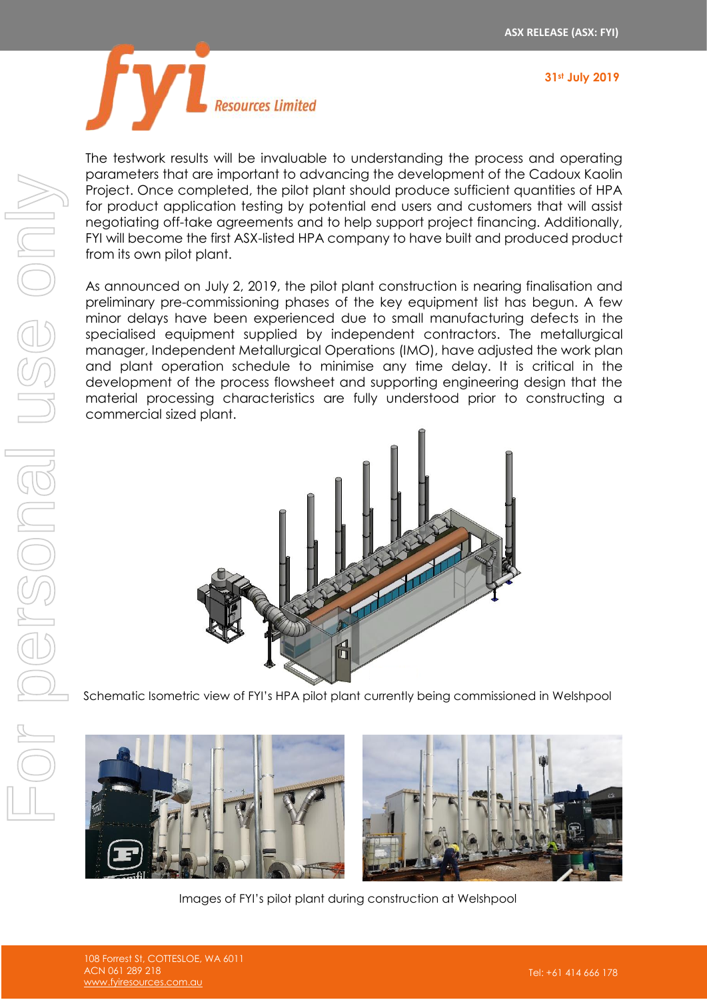



The testwork results will be invaluable to understanding the process and operating parameters that are important to advancing the development of the Cadoux Kaolin Project. Once completed, the pilot plant should produce sufficient quantities of HPA for product application testing by potential end users and customers that will assist negotiating off-take agreements and to help support project financing. Additionally, FYI will become the first ASX-listed HPA company to have built and produced product from its own pilot plant.

As announced on July 2, 2019, the pilot plant construction is nearing finalisation and preliminary pre-commissioning phases of the key equipment list has begun. A few minor delays have been experienced due to small manufacturing defects in the specialised equipment supplied by independent contractors. The metallurgical manager, Independent Metallurgical Operations (IMO), have adjusted the work plan and plant operation schedule to minimise any time delay. It is critical in the development of the process flowsheet and supporting engineering design that the material processing characteristics are fully understood prior to constructing a commercial sized plant.



Schematic Isometric view of FYI's HPA pilot plant currently being commissioned in Welshpool



Images of FYI's pilot plant during construction at Welshpool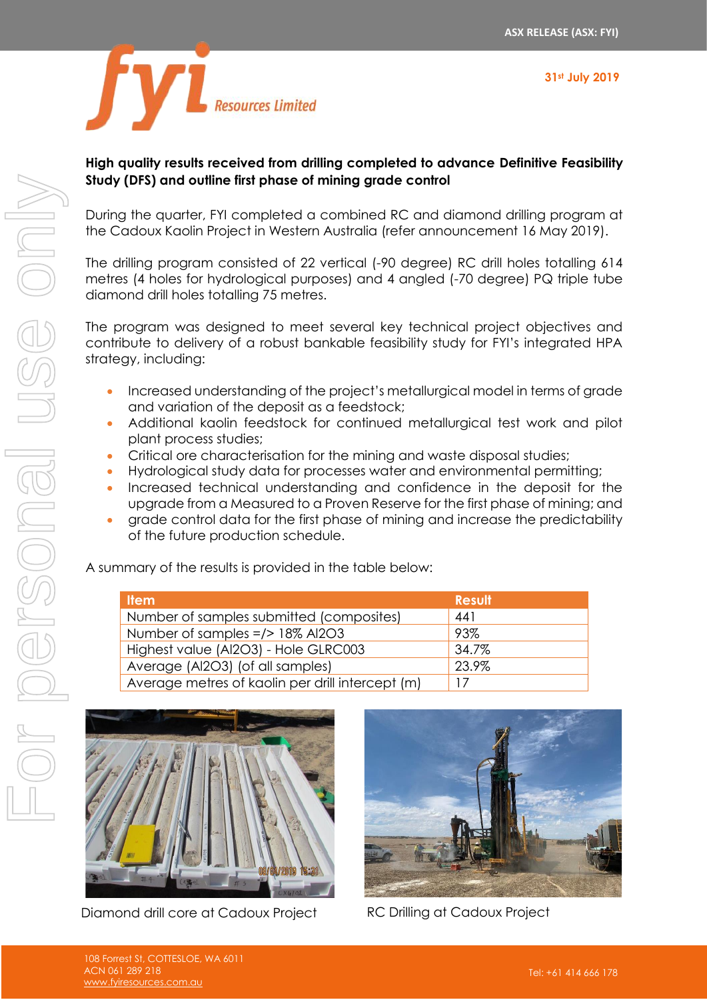**31st July 2019**



## **High quality results received from drilling completed to advance Definitive Feasibility Study (DFS) and outline first phase of mining grade control**

During the quarter, FYI completed a combined RC and diamond drilling program at the Cadoux Kaolin Project in Western Australia (refer announcement 16 May 2019).

The drilling program consisted of 22 vertical (-90 degree) RC drill holes totalling 614 metres (4 holes for hydrological purposes) and 4 angled (-70 degree) PQ triple tube diamond drill holes totalling 75 metres.

The program was designed to meet several key technical project objectives and contribute to delivery of a robust bankable feasibility study for FYI's integrated HPA strategy, including:

- Increased understanding of the project's metallurgical model in terms of grade and variation of the deposit as a feedstock;
- Additional kaolin feedstock for continued metallurgical test work and pilot plant process studies;
- Critical ore characterisation for the mining and waste disposal studies;
- Hydrological study data for processes water and environmental permitting;
- Increased technical understanding and confidence in the deposit for the upgrade from a Measured to a Proven Reserve for the first phase of mining; and
- grade control data for the first phase of mining and increase the predictability of the future production schedule.

A summary of the results is provided in the table below:

| <b>Item</b>                                      | <b>Result</b> |
|--------------------------------------------------|---------------|
| Number of samples submitted (composites)         | 441           |
| Number of samples =/> 18% Al2O3                  | 93%           |
| Highest value (Al2O3) - Hole GLRC003             | 34.7%         |
| Average (Al2O3) (of all samples)                 | 23.9%         |
| Average metres of kaolin per drill intercept (m) |               |



Diamond drill core at Cadoux Project RC Drilling at Cadoux Project

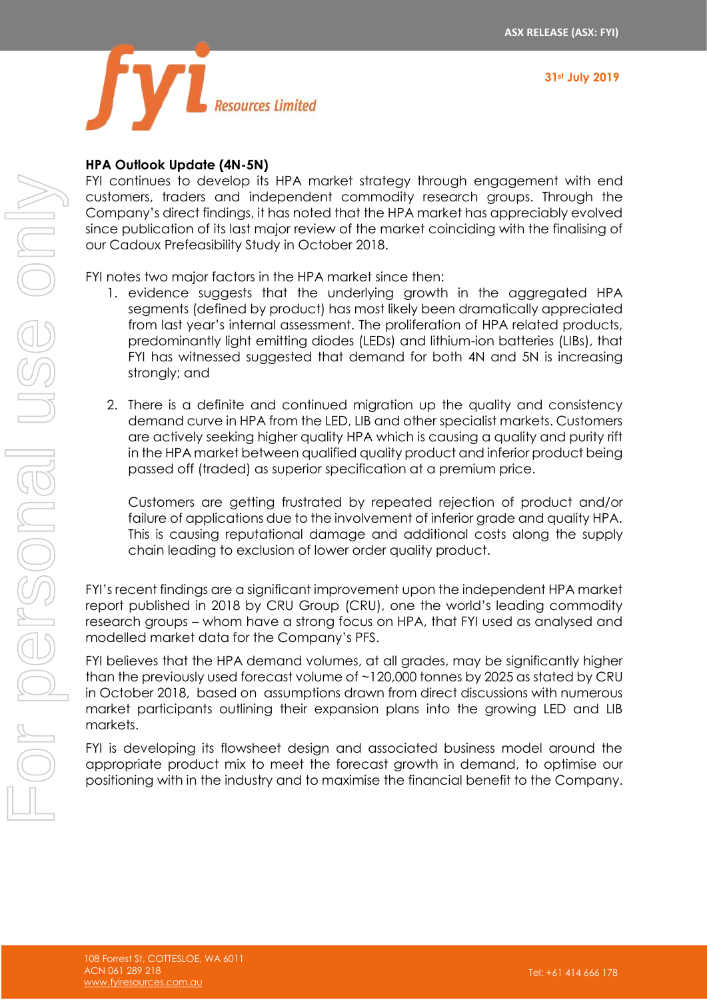



## **HPA Outlook Update (4N-5N)**

FYI continues to develop its HPA market strategy through engagement with end customers, traders and independent commodity research groups. Through the Company's direct findings, it has noted that the HPA market has appreciably evolved since publication of its last major review of the market coinciding with the finalising of our Cadoux Prefeasibility Study in October 2018.

FYI notes two major factors in the HPA market since then:

- 1. evidence suggests that the underlying growth in the aggregated HPA segments (defined by product) has most likely been dramatically appreciated from last year's internal assessment. The proliferation of HPA related products, predominantly light emitting diodes (LEDs) and lithium-ion batteries (LIBs), that FYI has witnessed suggested that demand for both 4N and 5N is increasing strongly; and
- 2. There is a definite and continued migration up the quality and consistency demand curve in HPA from the LED, LIB and other specialist markets. Customers are actively seeking higher quality HPA which is causing a quality and purity rift in the HPA market between qualified quality product and inferior product being passed off (traded) as superior specification at a premium price.

Customers are getting frustrated by repeated rejection of product and/or failure of applications due to the involvement of inferior grade and quality HPA. This is causing reputational damage and additional costs along the supply chain leading to exclusion of lower order quality product.

FYI's recent findings are a significant improvement upon the independent HPA market report published in 2018 by CRU Group (CRU), one the world's leading commodity research groups – whom have a strong focus on HPA, that FYI used as analysed and modelled market data for the Company's PFS.

FYI believes that the HPA demand volumes, at all grades, may be significantly higher than the previously used forecast volume of ~120,000 tonnes by 2025 as stated by CRU in October 2018, based on assumptions drawn from direct discussions with numerous market participants outlining their expansion plans into the growing LED and LIB markets.

FYI is developing its flowsheet design and associated business model around the appropriate product mix to meet the forecast growth in demand, to optimise our positioning with in the industry and to maximise the financial benefit to the Company.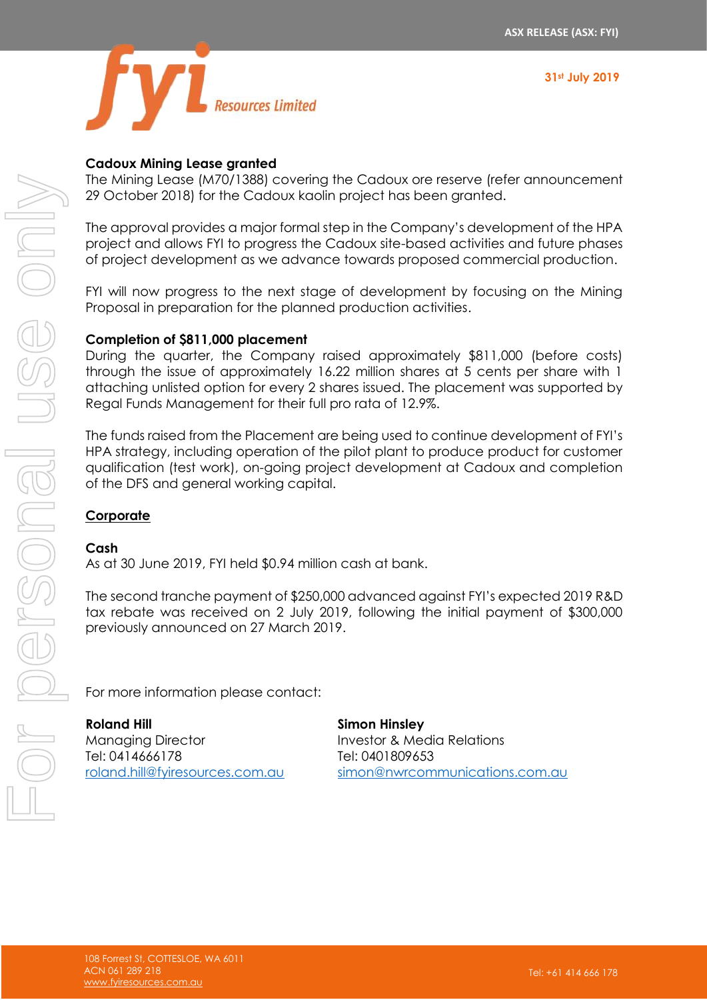



## **Cadoux Mining Lease granted**

The Mining Lease (M70/1388) covering the Cadoux ore reserve (refer announcement 29 October 2018) for the Cadoux kaolin project has been granted.

The approval provides a major formal step in the Company's development of the HPA project and allows FYI to progress the Cadoux site-based activities and future phases of project development as we advance towards proposed commercial production.

FYI will now progress to the next stage of development by focusing on the Mining Proposal in preparation for the planned production activities.

## **Completion of \$811,000 placement**

During the quarter, the Company raised approximately \$811,000 (before costs) through the issue of approximately 16.22 million shares at 5 cents per share with 1 attaching unlisted option for every 2 shares issued. The placement was supported by Regal Funds Management for their full pro rata of 12.9%.

The funds raised from the Placement are being used to continue development of FYI's HPA strategy, including operation of the pilot plant to produce product for customer qualification (test work), on-going project development at Cadoux and completion of the DFS and general working capital.

## **Corporate**

#### **Cash**

As at 30 June 2019, FYI held \$0.94 million cash at bank.

The second tranche payment of \$250,000 advanced against FYI's expected 2019 R&D tax rebate was received on 2 July 2019, following the initial payment of \$300,000 previously announced on 27 March 2019.

For more information please contact:

**Roland Hill**  Managing Director Tel: 0414666178 [roland.hill@fyiresources.com.au](mailto:roland.hill@fyiresources.com.au) **Simon Hinsley**  Investor & Media Relations Tel: 0401809653 [simon@nwrcommunications.com.au](mailto:simon@nwrcommunications.com.au)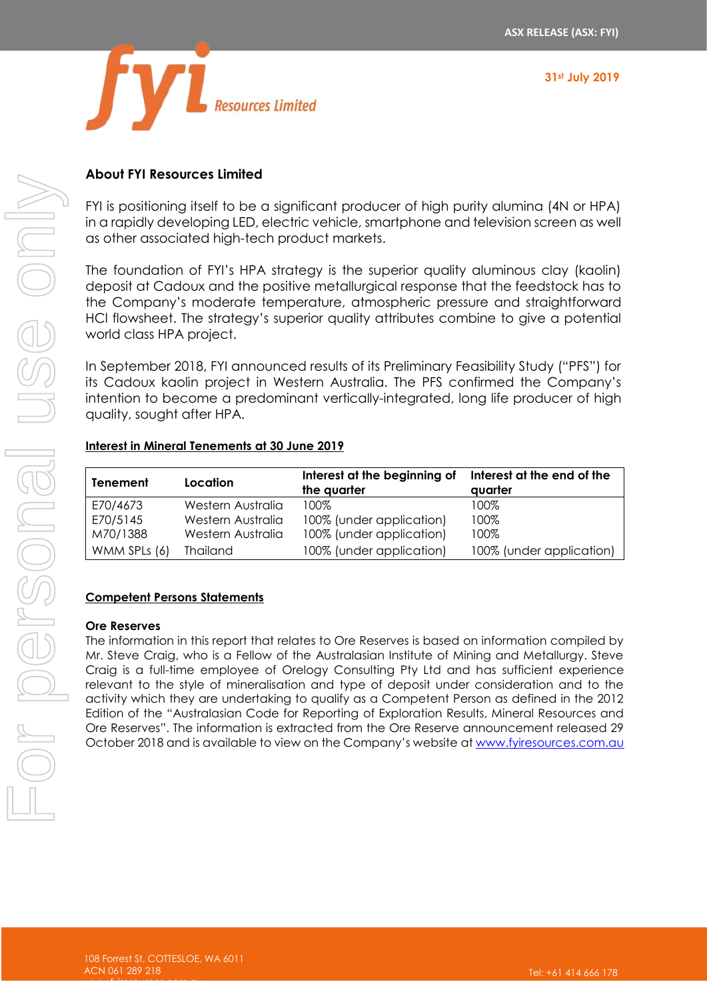



## **About FYI Resources Limited**

FYI is positioning itself to be a significant producer of high purity alumina (4N or HPA) in a rapidly developing LED, electric vehicle, smartphone and television screen as well as other associated high-tech product markets.

The foundation of FYI's HPA strategy is the superior quality aluminous clay (kaolin) deposit at Cadoux and the positive metallurgical response that the feedstock has to the Company's moderate temperature, atmospheric pressure and straightforward HCl flowsheet. The strategy's superior quality attributes combine to give a potential world class HPA project.

In September 2018, FYI announced results of its Preliminary Feasibility Study ("PFS") for its Cadoux kaolin project in Western Australia. The PFS confirmed the Company's intention to become a predominant vertically-integrated, long life producer of high quality, sought after HPA.

## **Interest in Mineral Tenements at 30 June 2019**

| <b>Tenement</b> | Location          | Interest at the beginning of<br>the quarter | Interest at the end of the<br>quarter |
|-----------------|-------------------|---------------------------------------------|---------------------------------------|
| E70/4673        | Western Australia | 100%                                        | 100%                                  |
| E70/5145        | Western Australia | 100% (under application)                    | 100%                                  |
| M70/1388        | Western Australia | 100% (under application)                    | 100%                                  |
| WMM SPLs (6)    | <b>Thailand</b>   | 100% (under application)                    | 100% (under application)              |

#### **Competent Persons Statements**

#### **Ore Reserves**

The information in this report that relates to Ore Reserves is based on information compiled by Mr. Steve Craig, who is a Fellow of the Australasian Institute of Mining and Metallurgy. Steve Craig is a full-time employee of Orelogy Consulting Pty Ltd and has sufficient experience relevant to the style of mineralisation and type of deposit under consideration and to the activity which they are undertaking to qualify as a Competent Person as defined in the 2012 Edition of the "Australasian Code for Reporting of Exploration Results, Mineral Resources and Ore Reserves". The information is extracted from the Ore Reserve announcement released 29 October 2018 and is available to view on the Company's website a[t www.fyiresources.com.au](http://www.fyiresources.com.au/)

[www.fyiresources.com.au](http://www.fyiresources.com.au/)